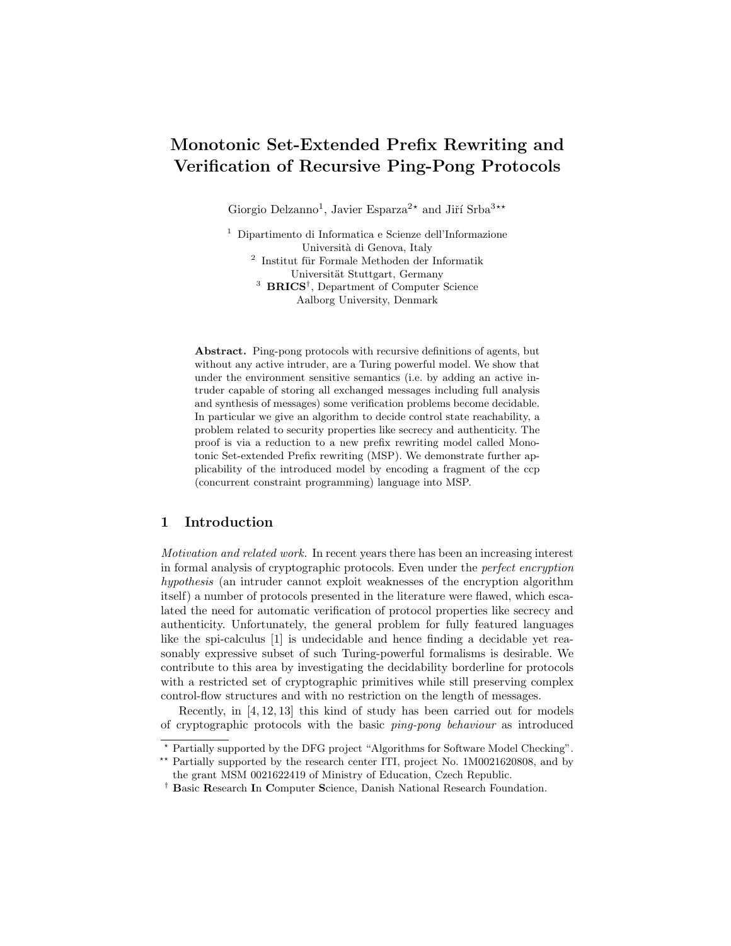# Monotonic Set-Extended Prefix Rewriting and Verification of Recursive Ping-Pong Protocols

Giorgio Delzanno<sup>1</sup>, Javier Esparza<sup>2\*</sup> and Jiří Srba<sup>3\*\*</sup>

<sup>1</sup> Dipartimento di Informatica e Scienze dell'Informazione Università di Genova, Italy  $^2\,$ Institut für Formale Methoden der Informatik Universität Stuttgart, Germany <sup>3</sup> BRICS<sup>†</sup>, Department of Computer Science Aalborg University, Denmark

Abstract. Ping-pong protocols with recursive definitions of agents, but without any active intruder, are a Turing powerful model. We show that under the environment sensitive semantics (i.e. by adding an active intruder capable of storing all exchanged messages including full analysis and synthesis of messages) some verification problems become decidable. In particular we give an algorithm to decide control state reachability, a problem related to security properties like secrecy and authenticity. The proof is via a reduction to a new prefix rewriting model called Monotonic Set-extended Prefix rewriting (MSP). We demonstrate further applicability of the introduced model by encoding a fragment of the ccp (concurrent constraint programming) language into MSP.

#### 1 Introduction

Motivation and related work. In recent years there has been an increasing interest in formal analysis of cryptographic protocols. Even under the perfect encryption hypothesis (an intruder cannot exploit weaknesses of the encryption algorithm itself) a number of protocols presented in the literature were flawed, which escalated the need for automatic verification of protocol properties like secrecy and authenticity. Unfortunately, the general problem for fully featured languages like the spi-calculus [1] is undecidable and hence finding a decidable yet reasonably expressive subset of such Turing-powerful formalisms is desirable. We contribute to this area by investigating the decidability borderline for protocols with a restricted set of cryptographic primitives while still preserving complex control-flow structures and with no restriction on the length of messages.

Recently, in [4, 12, 13] this kind of study has been carried out for models of cryptographic protocols with the basic ping-pong behaviour as introduced

<sup>?</sup> Partially supported by the DFG project "Algorithms for Software Model Checking".

<sup>\*\*</sup> Partially supported by the research center ITI, project No. 1M0021620808, and by the grant MSM 0021622419 of Ministry of Education, Czech Republic.

<sup>†</sup> Basic Research In Computer Science, Danish National Research Foundation.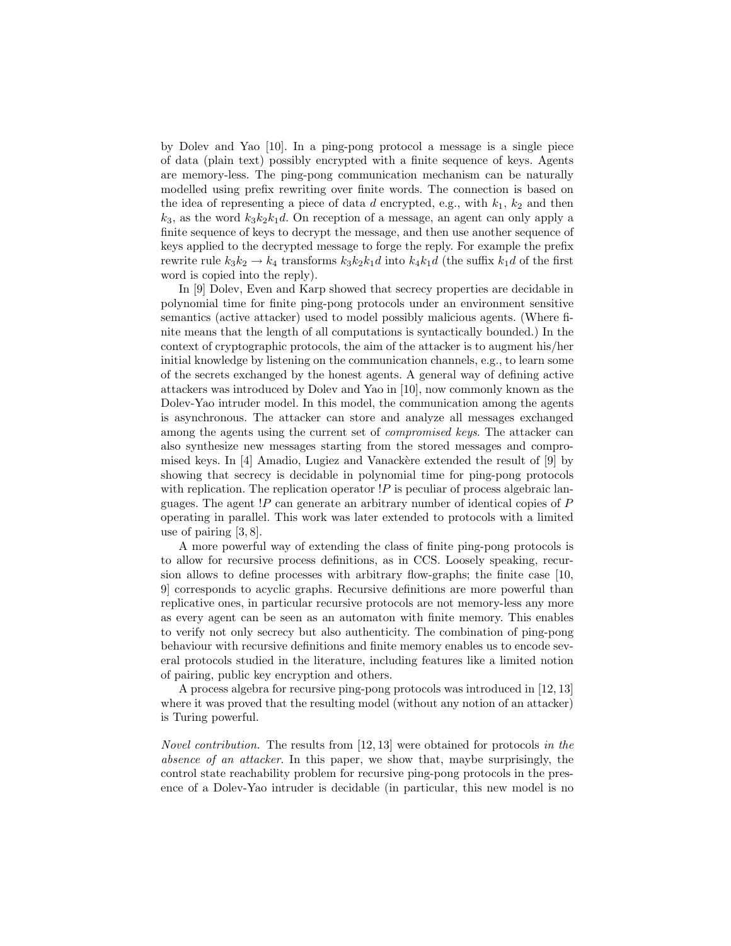by Dolev and Yao [10]. In a ping-pong protocol a message is a single piece of data (plain text) possibly encrypted with a finite sequence of keys. Agents are memory-less. The ping-pong communication mechanism can be naturally modelled using prefix rewriting over finite words. The connection is based on the idea of representing a piece of data  $d$  encrypted, e.g., with  $k_1$ ,  $k_2$  and then  $k_3$ , as the word  $k_3k_2k_1d$ . On reception of a message, an agent can only apply a finite sequence of keys to decrypt the message, and then use another sequence of keys applied to the decrypted message to forge the reply. For example the prefix rewrite rule  $k_3k_2 \rightarrow k_4$  transforms  $k_3k_2k_1d$  into  $k_4k_1d$  (the suffix  $k_1d$  of the first word is copied into the reply).

In [9] Dolev, Even and Karp showed that secrecy properties are decidable in polynomial time for finite ping-pong protocols under an environment sensitive semantics (active attacker) used to model possibly malicious agents. (Where finite means that the length of all computations is syntactically bounded.) In the context of cryptographic protocols, the aim of the attacker is to augment his/her initial knowledge by listening on the communication channels, e.g., to learn some of the secrets exchanged by the honest agents. A general way of defining active attackers was introduced by Dolev and Yao in [10], now commonly known as the Dolev-Yao intruder model. In this model, the communication among the agents is asynchronous. The attacker can store and analyze all messages exchanged among the agents using the current set of *compromised keys*. The attacker can also synthesize new messages starting from the stored messages and compromised keys. In  $[4]$  Amadio, Lugiez and Vanackère extended the result of  $[9]$  by showing that secrecy is decidable in polynomial time for ping-pong protocols with replication. The replication operator  $P$  is peculiar of process algebraic languages. The agent  $P$  can generate an arbitrary number of identical copies of  $P$ operating in parallel. This work was later extended to protocols with a limited use of pairing [3, 8].

A more powerful way of extending the class of finite ping-pong protocols is to allow for recursive process definitions, as in CCS. Loosely speaking, recursion allows to define processes with arbitrary flow-graphs; the finite case [10, 9] corresponds to acyclic graphs. Recursive definitions are more powerful than replicative ones, in particular recursive protocols are not memory-less any more as every agent can be seen as an automaton with finite memory. This enables to verify not only secrecy but also authenticity. The combination of ping-pong behaviour with recursive definitions and finite memory enables us to encode several protocols studied in the literature, including features like a limited notion of pairing, public key encryption and others.

A process algebra for recursive ping-pong protocols was introduced in [12, 13] where it was proved that the resulting model (without any notion of an attacker) is Turing powerful.

Novel contribution. The results from [12, 13] were obtained for protocols in the absence of an attacker. In this paper, we show that, maybe surprisingly, the control state reachability problem for recursive ping-pong protocols in the presence of a Dolev-Yao intruder is decidable (in particular, this new model is no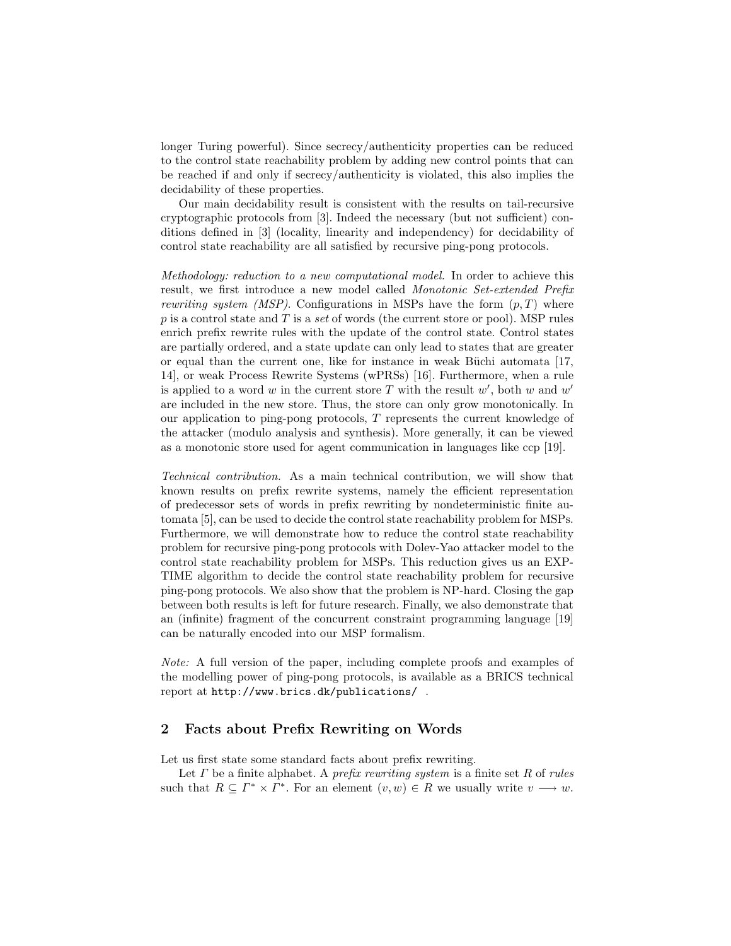longer Turing powerful). Since secrecy/authenticity properties can be reduced to the control state reachability problem by adding new control points that can be reached if and only if secrecy/authenticity is violated, this also implies the decidability of these properties.

Our main decidability result is consistent with the results on tail-recursive cryptographic protocols from [3]. Indeed the necessary (but not sufficient) conditions defined in [3] (locality, linearity and independency) for decidability of control state reachability are all satisfied by recursive ping-pong protocols.

Methodology: reduction to a new computational model. In order to achieve this result, we first introduce a new model called Monotonic Set-extended Prefix rewriting system *(MSP)*. Configurations in MSPs have the form  $(p, T)$  where p is a control state and T is a set of words (the current store or pool). MSP rules enrich prefix rewrite rules with the update of the control state. Control states are partially ordered, and a state update can only lead to states that are greater or equal than the current one, like for instance in weak Büchi automata [17, 14], or weak Process Rewrite Systems (wPRSs) [16]. Furthermore, when a rule is applied to a word w in the current store T with the result  $w'$ , both w and  $w'$ are included in the new store. Thus, the store can only grow monotonically. In our application to ping-pong protocols, T represents the current knowledge of the attacker (modulo analysis and synthesis). More generally, it can be viewed as a monotonic store used for agent communication in languages like ccp [19].

Technical contribution. As a main technical contribution, we will show that known results on prefix rewrite systems, namely the efficient representation of predecessor sets of words in prefix rewriting by nondeterministic finite automata [5], can be used to decide the control state reachability problem for MSPs. Furthermore, we will demonstrate how to reduce the control state reachability problem for recursive ping-pong protocols with Dolev-Yao attacker model to the control state reachability problem for MSPs. This reduction gives us an EXP-TIME algorithm to decide the control state reachability problem for recursive ping-pong protocols. We also show that the problem is NP-hard. Closing the gap between both results is left for future research. Finally, we also demonstrate that an (infinite) fragment of the concurrent constraint programming language [19] can be naturally encoded into our MSP formalism.

Note: A full version of the paper, including complete proofs and examples of the modelling power of ping-pong protocols, is available as a BRICS technical report at http://www.brics.dk/publications/ .

## 2 Facts about Prefix Rewriting on Words

Let us first state some standard facts about prefix rewriting.

Let  $\Gamma$  be a finite alphabet. A prefix rewriting system is a finite set  $R$  of rules such that  $R \subseteq \Gamma^* \times \Gamma^*$ . For an element  $(v, w) \in R$  we usually write  $v \longrightarrow w$ .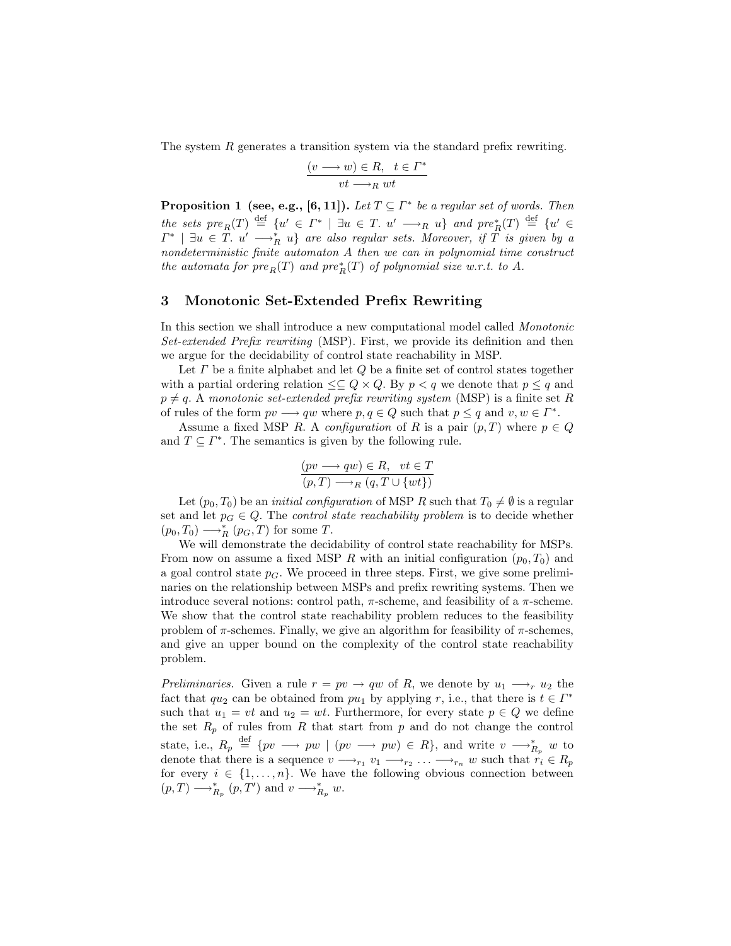The system R generates a transition system via the standard prefix rewriting.

$$
\frac{(v \longrightarrow w) \in R, \ t \in \varGamma^*}{vt \longrightarrow_R wt}
$$

**Proposition 1** (see, e.g., [6, 11]). Let  $T \subseteq \Gamma^*$  be a regular set of words. Then the sets  $pre_R(T) \stackrel{\text{def}}{=} \{u' \in \Gamma^* \mid \exists u \in T. u' \longrightarrow_R u\}$  and  $pre_R^*(T) \stackrel{\text{def}}{=} \{u' \in T \mid \exists u \in T. u' \longrightarrow_R u\}$  $\Gamma^*$  |  $\exists u \in \overline{T}$ .  $u' \longrightarrow_R^* u$ } are also regular sets. Moreover, if  $\overline{T}$  is given by a nondeterministic finite automaton A then we can in polynomial time construct the automata for  $pre_R(T)$  and  $pre_R^*(T)$  of polynomial size w.r.t. to A.

#### 3 Monotonic Set-Extended Prefix Rewriting

In this section we shall introduce a new computational model called Monotonic Set-extended Prefix rewriting (MSP). First, we provide its definition and then we argue for the decidability of control state reachability in MSP.

Let  $\Gamma$  be a finite alphabet and let  $Q$  be a finite set of control states together with a partial ordering relation  $\leq \subseteq Q \times Q$ . By  $p < q$  we denote that  $p \leq q$  and  $p \neq q$ . A monotonic set-extended prefix rewriting system (MSP) is a finite set R of rules of the form  $pv \longrightarrow qu$  where  $p, q \in Q$  such that  $p \leq q$  and  $v, w \in \Gamma^*$ .

Assume a fixed MSP R. A configuration of R is a pair  $(p, T)$  where  $p \in Q$ and  $T \subseteq \Gamma^*$ . The semantics is given by the following rule.

$$
\frac{(pv \longrightarrow quv) \in R, \ \ vt \in T}{(p,T) \longrightarrow_R (q,T \cup \{wt\})}
$$

Let  $(p_0, T_0)$  be an *initial configuration* of MSP R such that  $T_0 \neq \emptyset$  is a regular set and let  $p_G \in Q$ . The *control state reachability problem* is to decide whether  $(p_0, T_0) \longrightarrow_R^* (p_G, T)$  for some T.

We will demonstrate the decidability of control state reachability for MSPs. From now on assume a fixed MSP R with an initial configuration  $(p_0, T_0)$  and a goal control state  $p_G$ . We proceed in three steps. First, we give some preliminaries on the relationship between MSPs and prefix rewriting systems. Then we introduce several notions: control path,  $\pi$ -scheme, and feasibility of a  $\pi$ -scheme. We show that the control state reachability problem reduces to the feasibility problem of  $\pi$ -schemes. Finally, we give an algorithm for feasibility of  $\pi$ -schemes, and give an upper bound on the complexity of the control state reachability problem.

Preliminaries. Given a rule  $r = pv \rightarrow qw$  of R, we denote by  $u_1 \rightarrow_r u_2$  the fact that  $qu_2$  can be obtained from  $pu_1$  by applying r, i.e., that there is  $t \in \Gamma^*$ such that  $u_1 = vt$  and  $u_2 = wt$ . Furthermore, for every state  $p \in Q$  we define the set  $R_p$  of rules from R that start from p and do not change the control state, i.e.,  $R_p \stackrel{\text{def}}{=} \{ pv \longrightarrow pw \mid (pv \longrightarrow pw) \in R \}$ , and write  $v \longrightarrow_{R_p}^* w$  to denote that there is a sequence  $v \longrightarrow_{r_1} v_1 \longrightarrow_{r_2} \ldots \longrightarrow_{r_n} w$  such that  $r_i \in R_p$ for every  $i \in \{1, \ldots, n\}$ . We have the following obvious connection between  $(p, T) \longrightarrow_{R_p}^* (p, T')$  and  $v \longrightarrow_{R_p}^* w$ .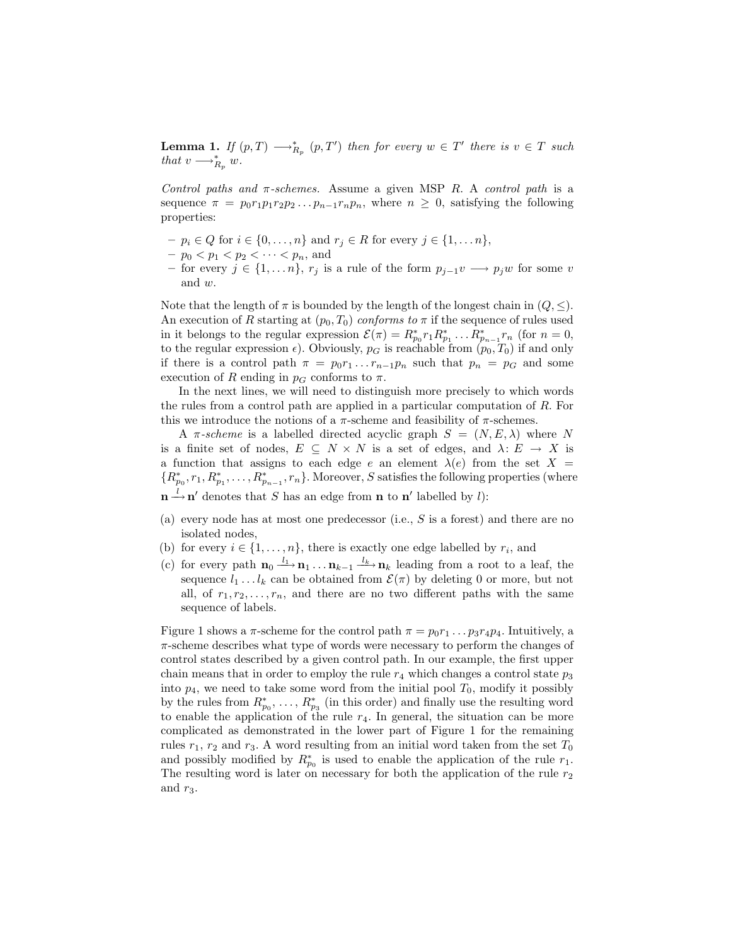**Lemma 1.** If  $(p,T) \longrightarrow_{R_p}^* (p,T')$  then for every  $w \in T'$  there is  $v \in T$  such that  $v \longrightarrow_{R_p}^* w$ .

Control paths and  $\pi$ -schemes. Assume a given MSP R. A control path is a sequence  $\pi = p_0 r_1 p_1 r_2 p_2 \dots p_{n-1} r_n p_n$ , where  $n \geq 0$ , satisfying the following properties:

- $p_i$  ∈ Q for  $i$  ∈ {0, ..., n} and  $r_j$  ∈ R for every  $j$  ∈ {1, ... n},
- $p_0 < p_1 < p_2 < \cdots < p_n$ , and
- for every  $j \in \{1, \ldots n\}$ ,  $r_j$  is a rule of the form  $p_{j-1}v \longrightarrow p_jw$  for some v and w.

Note that the length of  $\pi$  is bounded by the length of the longest chain in  $(Q, \leq)$ . An execution of R starting at  $(p_0, T_0)$  conforms to  $\pi$  if the sequence of rules used in it belongs to the regular expression  $\mathcal{E}(\pi) = R_{p_0}^* r_1 R_{p_1}^* \dots R_{p_{n-1}}^* r_n$  (for  $n = 0$ , to the regular expression  $\epsilon$ ). Obviously,  $p_G$  is reachable from  $(p_0, T_0)$  if and only if there is a control path  $\pi = p_0r_1 \dots r_{n-1}p_n$  such that  $p_n = p_G$  and some execution of R ending in  $p<sub>G</sub>$  conforms to  $\pi$ .

In the next lines, we will need to distinguish more precisely to which words the rules from a control path are applied in a particular computation of R. For this we introduce the notions of a  $\pi$ -scheme and feasibility of  $\pi$ -schemes.

A  $\pi$ -scheme is a labelled directed acyclic graph  $S = (N, E, \lambda)$  where N is a finite set of nodes,  $E \subseteq N \times N$  is a set of edges, and  $\lambda: E \to X$  is a function that assigns to each edge e an element  $\lambda(e)$  from the set  $X =$  ${R_{p_0}^*, r_1, R_{p_1}^*, \ldots, R_{p_{n-1}}^*, r_n}.$  Moreover, S satisfies the following properties (where  $\mathbf{n} \xrightarrow{l} \mathbf{n}'$  denotes that S has an edge from **n** to **n'** labelled by l):

- (a) every node has at most one predecessor (i.e., S is a forest) and there are no isolated nodes,
- (b) for every  $i \in \{1, \ldots, n\}$ , there is exactly one edge labelled by  $r_i$ , and
- (c) for every path  $\mathbf{n}_0 \xrightarrow{l_1} \mathbf{n}_1 \dots \mathbf{n}_{k-1} \xrightarrow{l_k} \mathbf{n}_k$  leading from a root to a leaf, the sequence  $l_1 \ldots l_k$  can be obtained from  $\mathcal{E}(\pi)$  by deleting 0 or more, but not all, of  $r_1, r_2, \ldots, r_n$ , and there are no two different paths with the same sequence of labels.

Figure 1 shows a  $\pi$ -scheme for the control path  $\pi = p_0r_1 \dots p_3r_4p_4$ . Intuitively, a  $\pi$ -scheme describes what type of words were necessary to perform the changes of control states described by a given control path. In our example, the first upper chain means that in order to employ the rule  $r_4$  which changes a control state  $p_3$ into  $p_4$ , we need to take some word from the initial pool  $T_0$ , modify it possibly by the rules from  $R_{p_0}^*, \ldots, R_{p_3}^*$  (in this order) and finally use the resulting word to enable the application of the rule  $r_4$ . In general, the situation can be more complicated as demonstrated in the lower part of Figure 1 for the remaining rules  $r_1$ ,  $r_2$  and  $r_3$ . A word resulting from an initial word taken from the set  $T_0$ and possibly modified by  $R_{p_0}^*$  is used to enable the application of the rule  $r_1$ . The resulting word is later on necessary for both the application of the rule  $r_2$ and  $r_3$ .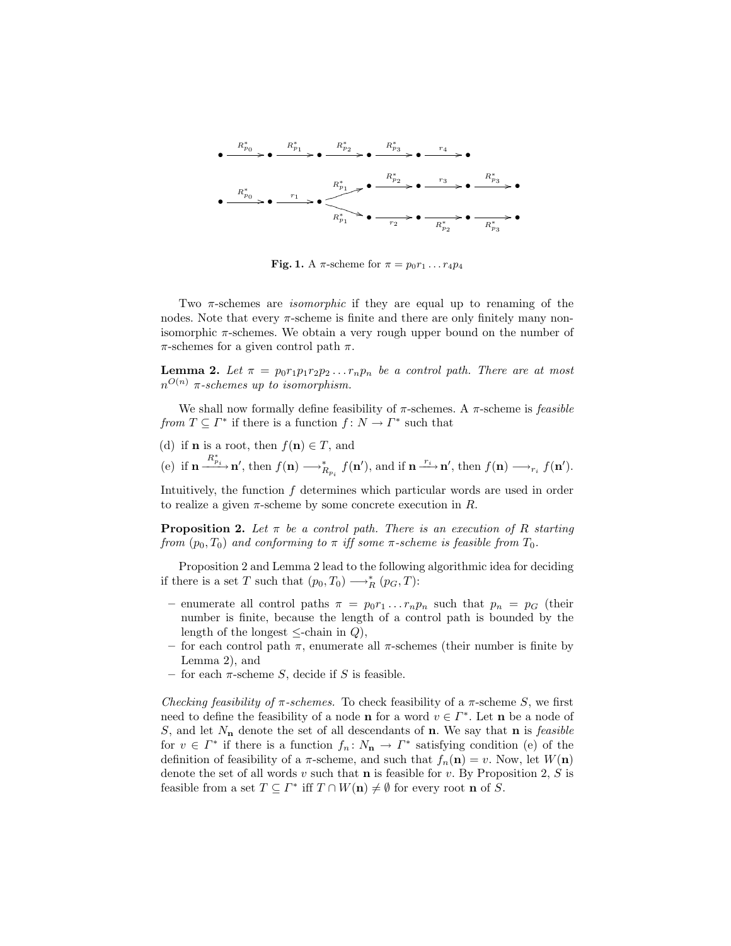

Fig. 1. A  $\pi$ -scheme for  $\pi = p_0 r_1 \dots r_4 p_4$ 

Two  $\pi$ -schemes are *isomorphic* if they are equal up to renaming of the nodes. Note that every  $\pi$ -scheme is finite and there are only finitely many nonisomorphic  $\pi$ -schemes. We obtain a very rough upper bound on the number of  $\pi$ -schemes for a given control path  $\pi$ .

**Lemma 2.** Let  $\pi = p_0r_1p_1r_2p_2...r_np_n$  be a control path. There are at most  $n^{O(n)}$   $\pi$ -schemes up to isomorphism.

We shall now formally define feasibility of  $\pi$ -schemes. A  $\pi$ -scheme is *feasible* from  $T \subseteq \Gamma^*$  if there is a function  $f: N \to \Gamma^*$  such that

- (d) if **n** is a root, then  $f(n) \in T$ , and
- (e) if  $\mathbf{n} \stackrel{R_{p_i}^*}{\longrightarrow} \mathbf{n}'$ , then  $f(\mathbf{n}) \longrightarrow_{R_{p_i}}^* f(\mathbf{n}')$ , and if  $\mathbf{n} \stackrel{r_i}{\longrightarrow} \mathbf{n}'$ , then  $f(\mathbf{n}) \longrightarrow_{r_i}^* f(\mathbf{n}')$ .

Intuitively, the function  $f$  determines which particular words are used in order to realize a given  $\pi$ -scheme by some concrete execution in  $R$ .

**Proposition 2.** Let  $\pi$  be a control path. There is an execution of R starting from  $(p_0, T_0)$  and conforming to  $\pi$  iff some  $\pi$ -scheme is feasible from  $T_0$ .

Proposition 2 and Lemma 2 lead to the following algorithmic idea for deciding if there is a set T such that  $(p_0, T_0) \longrightarrow_R^* (p_G, T)$ :

- enumerate all control paths  $\pi = p_0 r_1 \dots r_n p_n$  such that  $p_n = p_G$  (their number is finite, because the length of a control path is bounded by the length of the longest  $\le$ -chain in  $Q$ ),
- for each control path π, enumerate all π-schemes (their number is finite by Lemma 2), and
- for each  $\pi$ -scheme S, decide if S is feasible.

Checking feasibility of  $\pi$ -schemes. To check feasibility of a  $\pi$ -scheme S, we first need to define the feasibility of a node **n** for a word  $v \in \Gamma^*$ . Let **n** be a node of S, and let  $N_n$  denote the set of all descendants of n. We say that n is *feasible* for  $v \in \Gamma^*$  if there is a function  $f_n: N_n \to \Gamma^*$  satisfying condition (e) of the definition of feasibility of a  $\pi$ -scheme, and such that  $f_n(\mathbf{n}) = v$ . Now, let  $W(\mathbf{n})$ denote the set of all words v such that  $n$  is feasible for v. By Proposition 2, S is feasible from a set  $T \subseteq \Gamma^*$  iff  $T \cap W(\mathbf{n}) \neq \emptyset$  for every root **n** of S.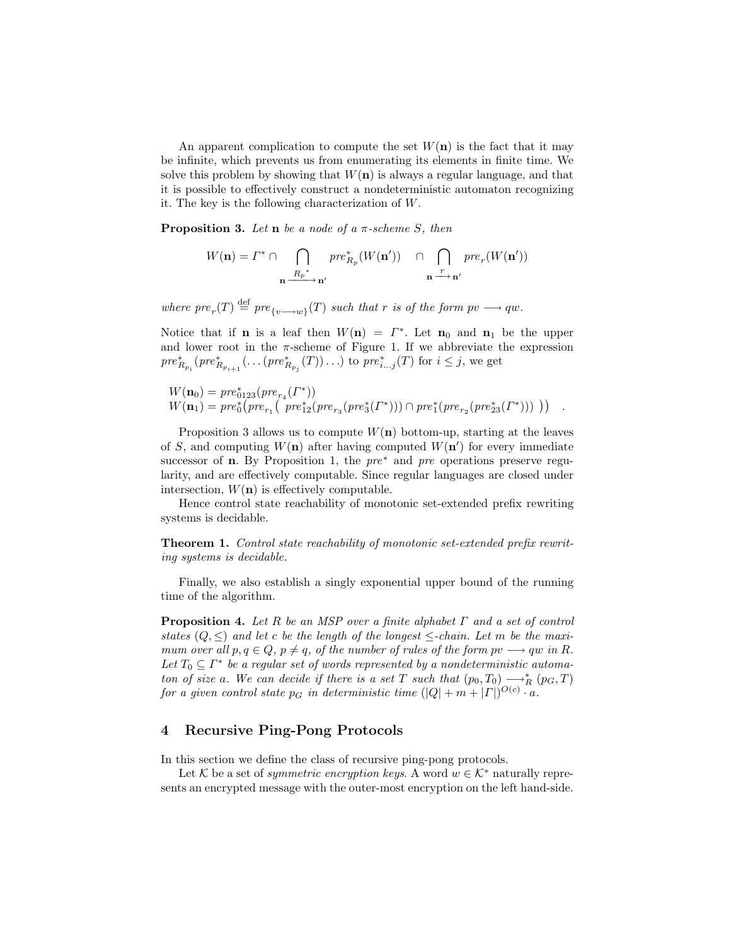An apparent complication to compute the set  $W(\mathbf{n})$  is the fact that it may be infinite, which prevents us from enumerating its elements in finite time. We solve this problem by showing that  $W(n)$  is always a regular language, and that it is possible to effectively construct a nondeterministic automaton recognizing it. The key is the following characterization of W.

**Proposition 3.** Let **n** be a node of a  $\pi$ -scheme S, then

$$
W(\mathbf{n}) = \Gamma^* \cap \bigcap_{\mathbf{n} = \mathbb{R}_p^* \mathbf{n}'} pre^*_{R_p}(W(\mathbf{n}')) \cap \bigcap_{\mathbf{n} = \mathbb{R}_p^*} pre_r(W(\mathbf{n}'))
$$

where  $pre_r(T) \stackrel{\text{def}}{=} pre_{\{v \longrightarrow w\}}(T)$  such that r is of the form  $pv \longrightarrow qw$ .

Notice that if **n** is a leaf then  $W(\mathbf{n}) = \Gamma^*$ . Let **n**<sub>0</sub> and **n**<sub>1</sub> be the upper and lower root in the  $\pi$ -scheme of Figure 1. If we abbreviate the expression  $\mathit{pre}^*_{R_{p_i}}(\mathit{pre}^*_{R_{p_{i+1}}}(\ldots(\mathit{pre}^*_{R_{p_j}}(T))\ldots)$  to  $\mathit{pre}^*_{i\ldots j}(T)$  for  $i \leq j$ , we get

$$
\begin{array}{ll} &W({\bf n}_0)=\mathit{pre}_{0123}^*(\mathit{pre}_{r_4}(\varGamma^*))\\ &W({\bf n}_1)=\mathit{pre}_0^*(\mathit{pre}_{r_1}\big(\mathit{pre}_{12}^*(\mathit{pre}_{r_3}(\mathit{pre}_3^*(\varGamma^*)))\cap \mathit{pre}_1^*(\mathit{pre}_{r_2}(\mathit{pre}_{23}^*(\varGamma^*)))\big)\big)\end{array}.
$$

Proposition 3 allows us to compute  $W(n)$  bottom-up, starting at the leaves of S, and computing  $W(\mathbf{n})$  after having computed  $W(\mathbf{n}')$  for every immediate successor of **n**. By Proposition 1, the  $pre^*$  and  $pre$  operations preserve regularity, and are effectively computable. Since regular languages are closed under intersection,  $W(\mathbf{n})$  is effectively computable.

Hence control state reachability of monotonic set-extended prefix rewriting systems is decidable.

Theorem 1. Control state reachability of monotonic set-extended prefix rewriting systems is decidable.

Finally, we also establish a singly exponential upper bound of the running time of the algorithm.

**Proposition 4.** Let R be an MSP over a finite alphabet  $\Gamma$  and a set of control states  $(Q, \leq)$  and let c be the length of the longest  $\leq$ -chain. Let m be the maximum over all  $p, q \in Q, p \neq q$ , of the number of rules of the form  $pv \longrightarrow qw$  in R. Let  $T_0 \subseteq \Gamma^*$  be a regular set of words represented by a nondeterministic automaton of size a. We can decide if there is a set T such that  $(p_0, T_0) \longrightarrow_R^* (p_G, T)$ for a given control state  $p_G$  in deterministic time  $(|Q| + m + |\Gamma|)^{O(c)} \cdot a$ .

#### 4 Recursive Ping-Pong Protocols

In this section we define the class of recursive ping-pong protocols.

Let K be a set of *symmetric encryption keys*. A word  $w \in K^*$  naturally represents an encrypted message with the outer-most encryption on the left hand-side.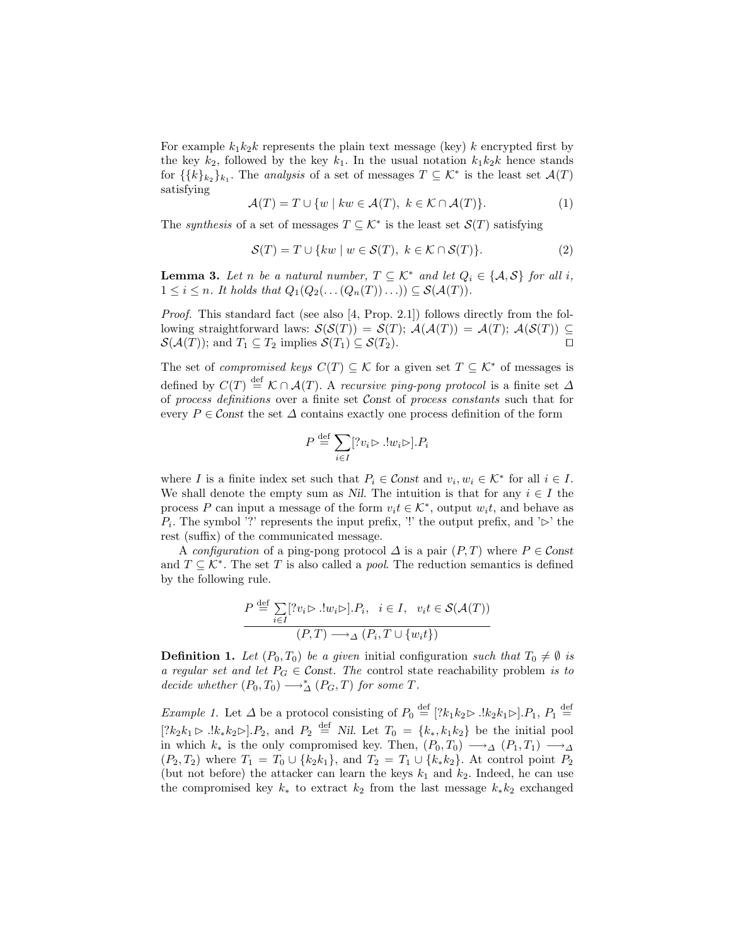For example  $k_1k_2k$  represents the plain text message (key) k encrypted first by the key  $k_2$ , followed by the key  $k_1$ . In the usual notation  $k_1k_2k$  hence stands for  $\{\{k\}_{k_2}\}_{k_1}$ . The *analysis* of a set of messages  $T \subseteq \mathcal{K}^*$  is the least set  $\mathcal{A}(T)$ satisfying

$$
\mathcal{A}(T) = T \cup \{ w \mid kw \in \mathcal{A}(T), \ k \in \mathcal{K} \cap \mathcal{A}(T) \}. \tag{1}
$$

The synthesis of a set of messages  $T \subseteq \mathcal{K}^*$  is the least set  $\mathcal{S}(T)$  satisfying

$$
\mathcal{S}(T) = T \cup \{kw \mid w \in \mathcal{S}(T), \ k \in \mathcal{K} \cap \mathcal{S}(T)\}.
$$
 (2)

**Lemma 3.** Let n be a natural number,  $T \subseteq \mathcal{K}^*$  and let  $Q_i \in \{\mathcal{A}, \mathcal{S}\}$  for all i,  $1 \leq i \leq n$ . It holds that  $Q_1(Q_2(\ldots(Q_n(T))\ldots)) \subseteq \mathcal{S}(\mathcal{A}(T))$ .

Proof. This standard fact (see also [4, Prop. 2.1]) follows directly from the following straightforward laws:  $\mathcal{S}(\mathcal{S}(T)) = \mathcal{S}(T)$ ;  $\mathcal{A}(\mathcal{A}(T)) = \mathcal{A}(T)$ ;  $\mathcal{A}(\mathcal{S}(T)) \subseteq$  $\mathcal{S}(\mathcal{A}(T));$  and  $T_1 \subseteq T_2$  implies  $\mathcal{S}(T_1) \subseteq \mathcal{S}(T_2)$ .

The set of *compromised keys*  $C(T) \subseteq K$  for a given set  $T \subseteq K^*$  of messages is defined by  $C(T) \stackrel{\text{def}}{=} \mathcal{K} \cap \mathcal{A}(T)$ . A recursive ping-pong protocol is a finite set  $\Delta$ of process definitions over a finite set Const of process constants such that for every  $P \in \mathcal{C}$  onst the set  $\Delta$  contains exactly one process definition of the form

$$
P \stackrel{\text{def}}{=} \sum_{i \in I} [?v_i \rhd .!w_i \rhd ].P_i
$$

where I is a finite index set such that  $P_i \in \mathcal{C}$  and  $v_i, w_i \in \mathcal{K}^*$  for all  $i \in I$ . We shall denote the empty sum as Nil. The intuition is that for any  $i \in I$  the process P can input a message of the form  $v_i t \in \mathcal{K}^*$ , output  $w_i t$ , and behave as  $P_i$ . The symbol '?' represents the input prefix, '!' the output prefix, and ' $\triangleright$ ' the rest (suffix) of the communicated message.

A configuration of a ping-pong protocol  $\Delta$  is a pair  $(P, T)$  where  $P \in \mathcal{C}$ onst and  $T \subseteq \mathcal{K}^*$ . The set T is also called a *pool*. The reduction semantics is defined by the following rule.

$$
P \stackrel{\text{def}}{=} \frac{\sum\limits_{i \in I} [?v_i \triangleright .. w_i \triangleright] . P_i, \quad i \in I, \quad v_i t \in S(\mathcal{A}(T))}{(P, T) \longrightarrow_{\Delta} (P_i, T \cup \{w_i t\})}
$$

**Definition 1.** Let  $(P_0, T_0)$  be a given initial configuration such that  $T_0 \neq \emptyset$  is a regular set and let  $P_G \in \mathcal{C}$  onst. The control state reachability problem is to decide whether  $(P_0, T_0) \longrightarrow_{\Delta}^* (P_G, T)$  for some T.

*Example 1*. Let  $\Delta$  be a protocol consisting of  $P_0 \stackrel{\text{def}}{=} [?k_1k_2 \triangleright \ldots \triangleright k_2k_1 \triangleright]$ .  $P_1, P_1 \stackrel{\text{def}}{=}$  $[?k_2k_1 \triangleright ..!k_*k_2 \triangleright].P_2$ , and  $P_2 \stackrel{\text{def}}{=}$  Nil. Let  $T_0 = \{k_*, k_1k_2\}$  be the initial pool in which  $k_*$  is the only compromised key. Then,  $(P_0, T_0) \longrightarrow_{\Delta} (P_1, T_1) \longrightarrow_{\Delta}$  $(P_2, T_2)$  where  $T_1 = T_0 \cup \{k_2 k_1\}$ , and  $T_2 = T_1 \cup \{k_* k_2\}$ . At control point  $P_2$ (but not before) the attacker can learn the keys  $k_1$  and  $k_2$ . Indeed, he can use the compromised key  $k_*$  to extract  $k_2$  from the last message  $k_*k_2$  exchanged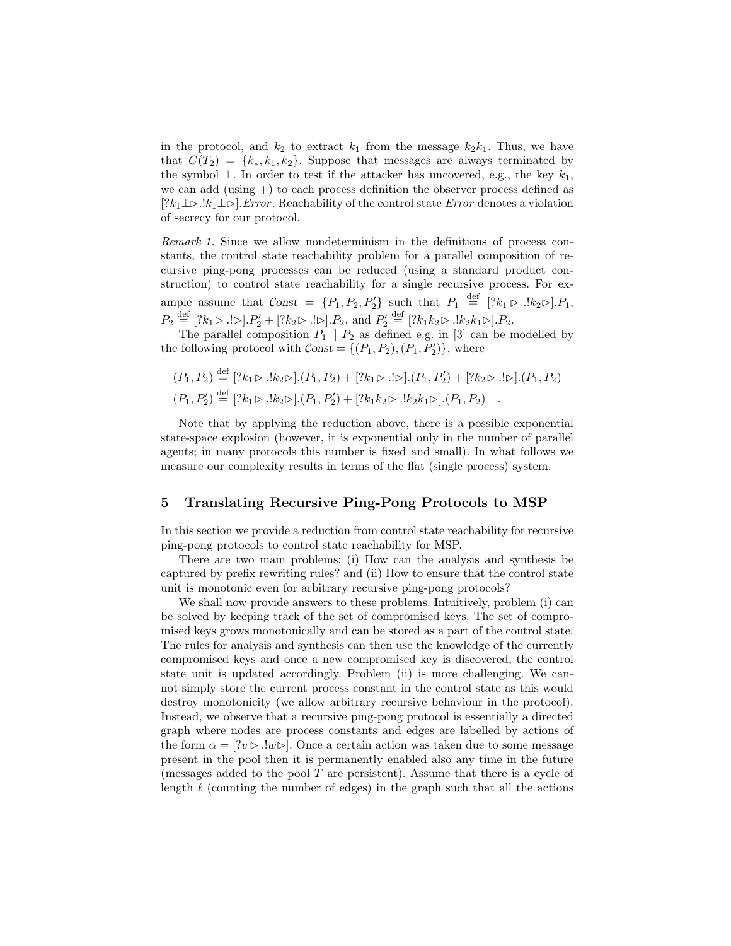in the protocol, and  $k_2$  to extract  $k_1$  from the message  $k_2k_1$ . Thus, we have that  $C(T_2) = \{k_*, k_1, k_2\}$ . Suppose that messages are always terminated by the symbol  $\perp$ . In order to test if the attacker has uncovered, e.g., the key  $k_1$ , we can add (using  $+$ ) to each process definition the observer process defined as  $[?k_1\perp\!\!\!\perp L_1\perp\!\!\!\perp]$ . Error. Reachability of the control state Error denotes a violation of secrecy for our protocol.

Remark 1. Since we allow nondeterminism in the definitions of process constants, the control state reachability problem for a parallel composition of recursive ping-pong processes can be reduced (using a standard product construction) to control state reachability for a single recursive process. For example assume that  $\mathcal{C}$ onst =  $\{P_1, P_2, P'_2\}$  such that  $P_1 \stackrel{\text{def}}{=} [?k_1 \rhd .!k_2 \rhd].P_1$ ,  $P_2 \stackrel{\text{def}}{=} [?k_1 \rhd .\rhd] . P_2' + [?k_2 \rhd .\rhd] . P_2$ , and  $P_2' \stackrel{\text{def}}{=} [?k_1k_2 \rhd .\rlc_2 k_1 \rhd] . P_2$ .

The parallel composition  $P_1 \parallel P_2$  as defined e.g. in [3] can be modelled by the following protocol with  $\mathcal{C}onst = \{(P_1, P_2), (P_1, P'_2)\}\,$  where

$$
(P_1, P_2) \stackrel{\text{def}}{=} [?k_1 \triangleright .. k_2 \triangleright] \cdot (P_1, P_2) + [?k_1 \triangleright .. \triangleright] \cdot (P_1, P'_2) + [?k_2 \triangleright .. \triangleright] \cdot (P_1, P_2)
$$
  

$$
(P_1, P'_2) \stackrel{\text{def}}{=} [?k_1 \triangleright .. k_2 \triangleright] \cdot (P_1, P'_2) + [?k_1 k_2 \triangleright .. k_2 k_1 \triangleright] \cdot (P_1, P_2) .
$$

Note that by applying the reduction above, there is a possible exponential state-space explosion (however, it is exponential only in the number of parallel agents; in many protocols this number is fixed and small). In what follows we measure our complexity results in terms of the flat (single process) system.

#### 5 Translating Recursive Ping-Pong Protocols to MSP

In this section we provide a reduction from control state reachability for recursive ping-pong protocols to control state reachability for MSP.

There are two main problems: (i) How can the analysis and synthesis be captured by prefix rewriting rules? and (ii) How to ensure that the control state unit is monotonic even for arbitrary recursive ping-pong protocols?

We shall now provide answers to these problems. Intuitively, problem (i) can be solved by keeping track of the set of compromised keys. The set of compromised keys grows monotonically and can be stored as a part of the control state. The rules for analysis and synthesis can then use the knowledge of the currently compromised keys and once a new compromised key is discovered, the control state unit is updated accordingly. Problem (ii) is more challenging. We cannot simply store the current process constant in the control state as this would destroy monotonicity (we allow arbitrary recursive behaviour in the protocol). Instead, we observe that a recursive ping-pong protocol is essentially a directed graph where nodes are process constants and edges are labelled by actions of the form  $\alpha = [?v \triangleright ].$  Once a certain action was taken due to some message present in the pool then it is permanently enabled also any time in the future (messages added to the pool  $T$  are persistent). Assume that there is a cycle of length  $\ell$  (counting the number of edges) in the graph such that all the actions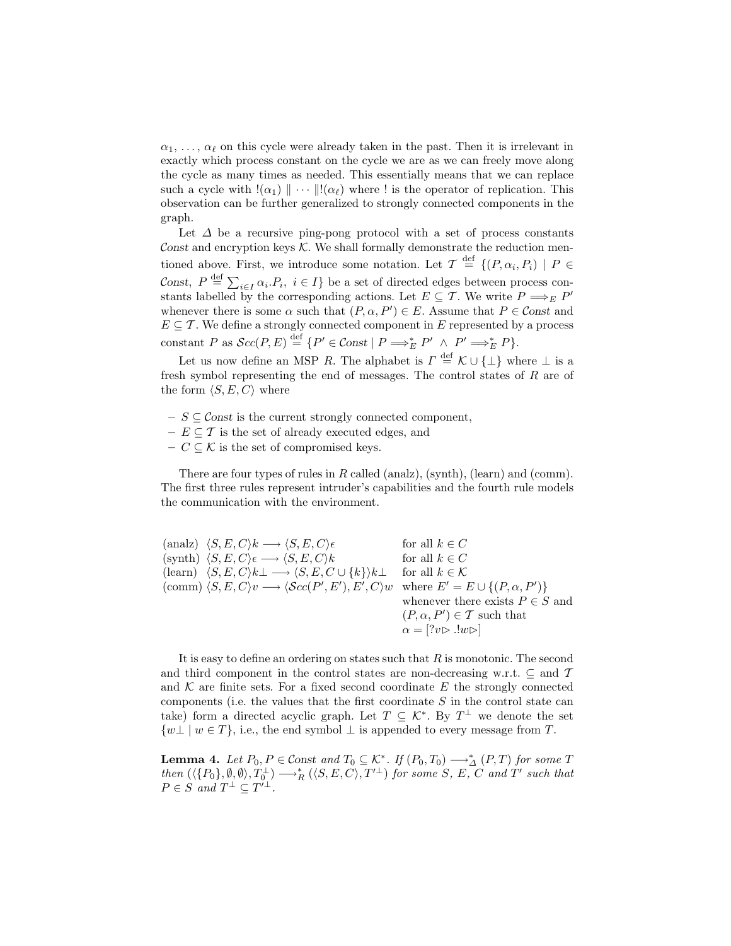$\alpha_1, \ldots, \alpha_\ell$  on this cycle were already taken in the past. Then it is irrelevant in exactly which process constant on the cycle we are as we can freely move along the cycle as many times as needed. This essentially means that we can replace such a cycle with  $\lbrack (\alpha_1) \rbrack \rbrack \cdots \rbrack \lbrack (\alpha_\ell)$  where ! is the operator of replication. This observation can be further generalized to strongly connected components in the graph.

Let  $\Delta$  be a recursive ping-pong protocol with a set of process constants Const and encryption keys  $K$ . We shall formally demonstrate the reduction mentioned above. First, we introduce some notation. Let  $\mathcal{T} \stackrel{\text{def}}{=} \{ (P, \alpha_i, P_i) \mid P \in$ Const,  $P \stackrel{\text{def}}{=} \sum_{i \in I} \alpha_i P_i$ ,  $i \in I$  be a set of directed edges between process constants labelled by the corresponding actions. Let  $E \subseteq \mathcal{T}$ . We write  $P \Longrightarrow_E P'$ whenever there is some  $\alpha$  such that  $(P, \alpha, P') \in E$ . Assume that  $P \in \mathcal{C}$  and  $E \subseteq \mathcal{T}$ . We define a strongly connected component in E represented by a process constant P as  $\mathcal{S}cc(P, E) \stackrel{\text{def}}{=} \{P' \in \mathcal{C} \text{onst} \mid P \Longrightarrow_E^* P' \land P' \Longrightarrow_E^* P\}.$ 

Let us now define an MSP R. The alphabet is  $\Gamma \stackrel{\text{def}}{=} \mathcal{K} \cup \{\perp\}$  where  $\perp$  is a fresh symbol representing the end of messages. The control states of  $R$  are of the form  $\langle S, E, C \rangle$  where

- $-S \subseteq \mathcal{C}$  onst is the current strongly connected component,
- $E \subseteq \mathcal{T}$  is the set of already executed edges, and
- $C \subseteq \mathcal{K}$  is the set of compromised keys.

There are four types of rules in  $R$  called (analz), (synth), (learn) and (comm). The first three rules represent intruder's capabilities and the fourth rule models the communication with the environment.

(analz)  $\langle S, E, C \rangle k \longrightarrow \langle S, E, C \rangle \epsilon$  for all  $k \in C$ (synth)  $\langle S, E, C \rangle \epsilon \longrightarrow \langle S, E, C \rangle k$  for all  $k \in C$ (learn)  $\langle S, E, C \rangle k\bot \longrightarrow \langle S, E, C \cup \{k\} \rangle k\bot$  for all  $k \in \mathcal{K}$ (comm)  $\langle S, E, C \rangle v \longrightarrow \langle \mathcal{S}cc(P', E'), E', C \rangle w$  where  $E' = E \cup \{ (P, \alpha, P') \}$ whenever there exists  $P \in S$  and  $(P, \alpha, P') \in \mathcal{T}$  such that  $\alpha = [?v \triangleright \cdot \cdot \cdot \cdot v \triangleright]$ 

It is easy to define an ordering on states such that  $R$  is monotonic. The second and third component in the control states are non-decreasing w.r.t.  $\subseteq$  and  $\mathcal T$ and  $K$  are finite sets. For a fixed second coordinate  $E$  the strongly connected components (i.e. the values that the first coordinate  $S$  in the control state can take) form a directed acyclic graph. Let  $T \subseteq \mathcal{K}^*$ . By  $T^{\perp}$  we denote the set  $\{w\perp \mid w \in T\}$ , i.e., the end symbol  $\perp$  is appended to every message from T.

**Lemma 4.** Let  $P_0, P \in \mathcal{C}$  onst and  $T_0 \subseteq \mathcal{K}^*$ . If  $(P_0, T_0) \longrightarrow_{\Delta}^* (P, T)$  for some T then  $(\langle \{P_0\}, \emptyset, \emptyset \rangle, T_0^{\perp}) \longrightarrow_R^* (\langle S, E, C \rangle, T'^{\perp})$  for some  $S, E, C$  and  $T'$  such that  $P \in S$  and  $T^{\perp} \subseteq T'^{\perp}$ .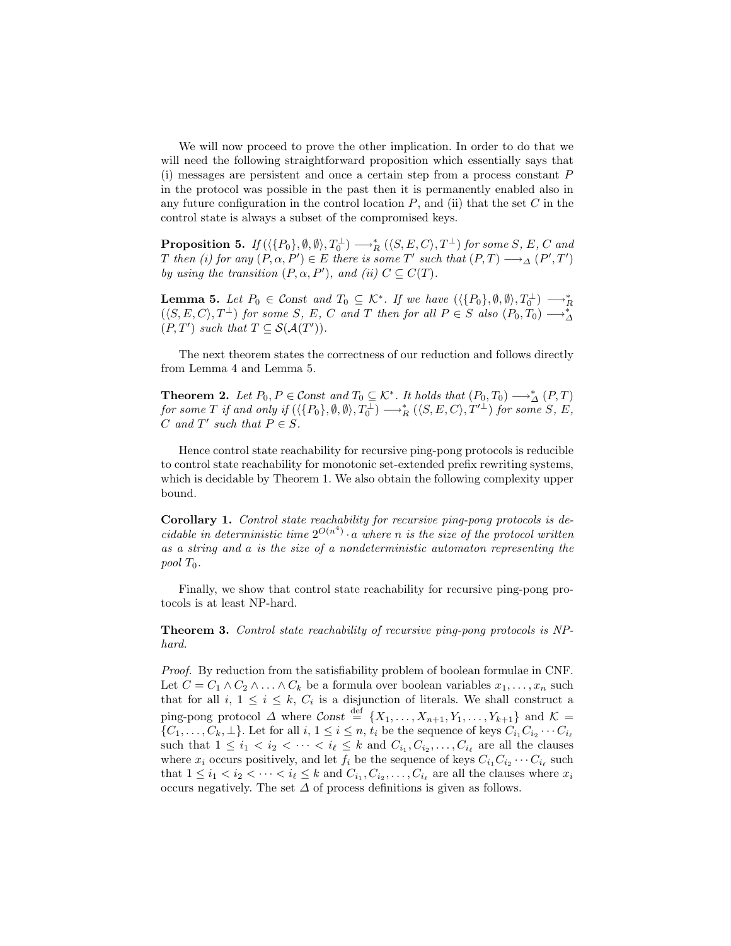We will now proceed to prove the other implication. In order to do that we will need the following straightforward proposition which essentially says that (i) messages are persistent and once a certain step from a process constant P in the protocol was possible in the past then it is permanently enabled also in any future configuration in the control location  $P$ , and (ii) that the set  $C$  in the control state is always a subset of the compromised keys.

**Proposition 5.** If  $(\langle \{P_0\}, \emptyset, \emptyset \rangle, T_0^{\perp}) \longrightarrow_R^* (\langle S, E, C \rangle, T^{\perp})$  for some S, E, C and T then (i) for any  $(P, \alpha, P') \in E$  there is some T' such that  $(P, T) \longrightarrow_{\Delta} (P', T')$ by using the transition  $(P, \alpha, P')$ , and (ii)  $C \subseteq C(T)$ .

**Lemma 5.** Let  $P_0 \in \text{Const}$  and  $T_0 \subseteq \mathcal{K}^*$ . If we have  $(\langle \{P_0\}, \emptyset, \emptyset \rangle, T_0^{\perp}) \longrightarrow_R^*$ <br> $(\langle S, E, C \rangle, T^{\perp})$  for some S, E, C and T then for all  $P \in S$  also  $(P_0, T_0) \longrightarrow_{\Delta}^*$  $(P, T')$  such that  $T \subseteq \mathcal{S}(\mathcal{A}(T'))$ .

The next theorem states the correctness of our reduction and follows directly from Lemma 4 and Lemma 5.

**Theorem 2.** Let  $P_0, P \in \mathcal{C}$  and  $T_0 \subseteq \mathcal{K}^*$ . It holds that  $(P_0, T_0) \longrightarrow_A^* (P, T)$ for some  $T$  if and only if  $(\langle \{P_0\}, \emptyset, \emptyset \rangle, T_0^{\perp}) \longrightarrow_R^* (\langle S, E, C \rangle, T'^{\perp})$  for some  $S, E$ , C and T' such that  $P \in S$ .

Hence control state reachability for recursive ping-pong protocols is reducible to control state reachability for monotonic set-extended prefix rewriting systems, which is decidable by Theorem 1. We also obtain the following complexity upper bound.

Corollary 1. Control state reachability for recursive ping-pong protocols is decidable in deterministic time  $2^{O(n^4)} \cdot a$  where n is the size of the protocol written as a string and a is the size of a nondeterministic automaton representing the pool  $T_0$ .

Finally, we show that control state reachability for recursive ping-pong protocols is at least NP-hard.

Theorem 3. Control state reachability of recursive ping-pong protocols is NPhard.

Proof. By reduction from the satisfiability problem of boolean formulae in CNF. Let  $C = C_1 \wedge C_2 \wedge \ldots \wedge C_k$  be a formula over boolean variables  $x_1, \ldots, x_n$  such that for all  $i, 1 \leq i \leq k, C_i$  is a disjunction of literals. We shall construct a ping-pong protocol  $\Delta$  where Const  $\stackrel{\text{def}}{=} \{X_1, \ldots, X_{n+1}, Y_1, \ldots, Y_{k+1}\}$  and  $\mathcal{K} =$  $\{C_1, \ldots, C_k, \perp\}$ . Let for all  $i, 1 \leq i \leq n$ ,  $t_i$  be the sequence of keys  $C_{i_1} C_{i_2} \cdots C_{i_\ell}$ such that  $1 \leq i_1 < i_2 < \cdots < i_\ell \leq k$  and  $C_{i_1}, C_{i_2}, \ldots, C_{i_\ell}$  are all the clauses where  $x_i$  occurs positively, and let  $f_i$  be the sequence of keys  $C_{i_1} C_{i_2} \cdots C_{i_\ell}$  such that  $1 \leq i_1 < i_2 < \cdots < i_\ell \leq k$  and  $C_{i_1}, C_{i_2}, \ldots, C_{i_\ell}$  are all the clauses where  $x_i$ occurs negatively. The set  $\Delta$  of process definitions is given as follows.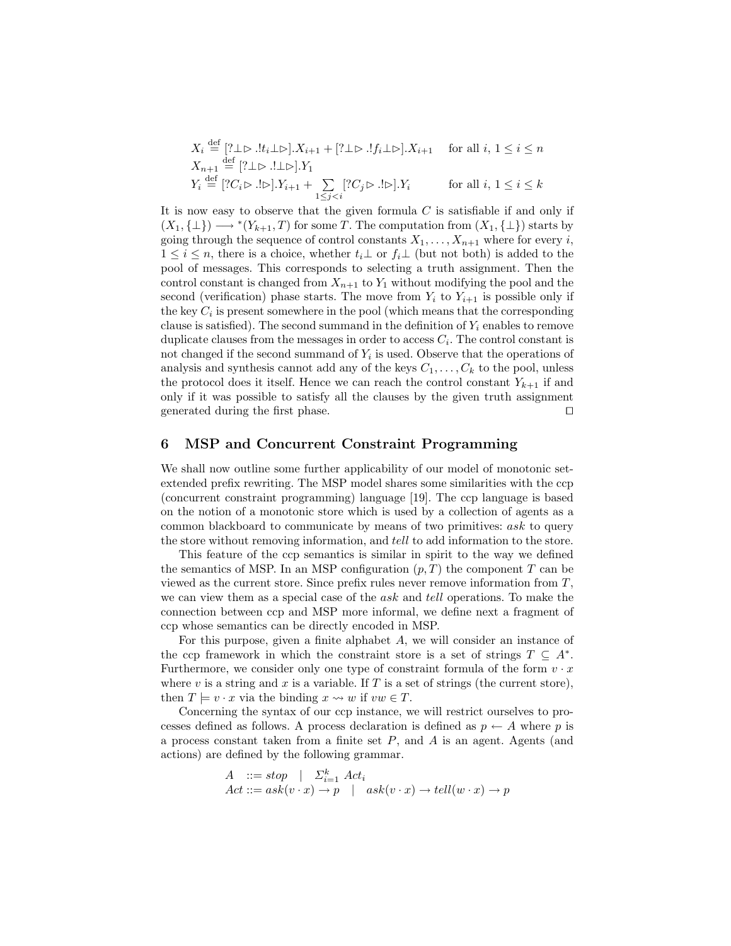$$
X_i \stackrel{\text{def}}{=} [? \bot \triangleright \exists !t_i \bot \triangleright].X_{i+1} + [? \bot \triangleright \exists !f_i \bot \triangleright].X_{i+1} \quad \text{for all } i, 1 \le i \le n
$$
  
\n
$$
X_{n+1} \stackrel{\text{def}}{=} [? \bot \triangleright \exists \bot \triangleright].Y_1
$$
  
\n
$$
Y_i \stackrel{\text{def}}{=} [?C_i \triangleright \exists \triangleright].Y_{i+1} + \sum_{1 \le j < i} [?C_j \triangleright \exists \triangleright].Y_i \quad \text{for all } i, 1 \le i \le k
$$

It is now easy to observe that the given formula  $C$  is satisfiable if and only if  $(X_1, {\{\perp\}}) \longrightarrow {}^{*}(Y_{k+1}, T)$  for some T. The computation from  $(X_1, {\{\perp\}})$  starts by going through the sequence of control constants  $X_1, \ldots, X_{n+1}$  where for every i,  $1 \leq i \leq n$ , there is a choice, whether  $t_i \perp$  or  $f_i \perp$  (but not both) is added to the pool of messages. This corresponds to selecting a truth assignment. Then the control constant is changed from  $X_{n+1}$  to  $Y_1$  without modifying the pool and the second (verification) phase starts. The move from  $Y_i$  to  $Y_{i+1}$  is possible only if the key  $C_i$  is present somewhere in the pool (which means that the corresponding clause is satisfied). The second summand in the definition of  $Y_i$  enables to remove duplicate clauses from the messages in order to access  $C_i$ . The control constant is not changed if the second summand of  $Y_i$  is used. Observe that the operations of analysis and synthesis cannot add any of the keys  $C_1, \ldots, C_k$  to the pool, unless the protocol does it itself. Hence we can reach the control constant  $Y_{k+1}$  if and only if it was possible to satisfy all the clauses by the given truth assignment generated during the first phase.  $\Box$ 

# 6 MSP and Concurrent Constraint Programming

We shall now outline some further applicability of our model of monotonic setextended prefix rewriting. The MSP model shares some similarities with the ccp (concurrent constraint programming) language [19]. The ccp language is based on the notion of a monotonic store which is used by a collection of agents as a common blackboard to communicate by means of two primitives: ask to query the store without removing information, and tell to add information to the store.

This feature of the ccp semantics is similar in spirit to the way we defined the semantics of MSP. In an MSP configuration  $(p, T)$  the component T can be viewed as the current store. Since prefix rules never remove information from  $T$ , we can view them as a special case of the *ask* and *tell* operations. To make the connection between ccp and MSP more informal, we define next a fragment of ccp whose semantics can be directly encoded in MSP.

For this purpose, given a finite alphabet A, we will consider an instance of the ccp framework in which the constraint store is a set of strings  $T \subseteq A^*$ . Furthermore, we consider only one type of constraint formula of the form  $v \cdot x$ where  $v$  is a string and  $x$  is a variable. If  $T$  is a set of strings (the current store), then  $T \models v \cdot x$  via the binding  $x \rightsquigarrow w$  if  $vw \in T$ .

Concerning the syntax of our ccp instance, we will restrict ourselves to processes defined as follows. A process declaration is defined as  $p \leftarrow A$  where p is a process constant taken from a finite set  $P$ , and  $\overline{A}$  is an agent. Agents (and actions) are defined by the following grammar.

A ::= stop 
$$
\vert \sum_{i=1}^{k} Act_i
$$
  
Act ::= ask(v \cdot x) \rightarrow p  $\vert$  ask(v \cdot x) \rightarrow tell(w \cdot x) \rightarrow p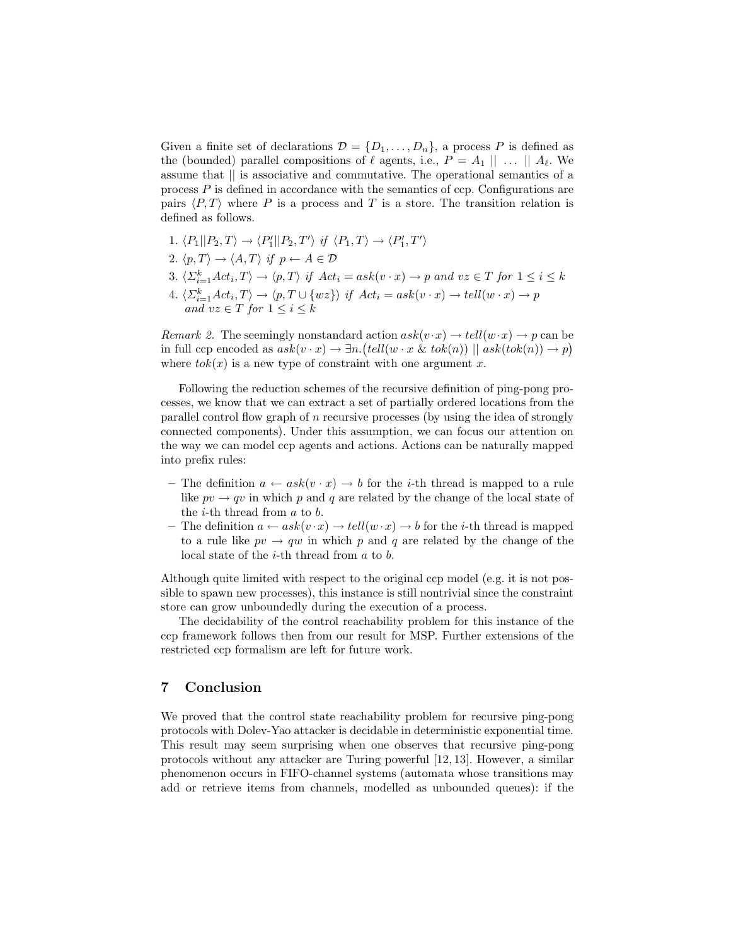Given a finite set of declarations  $\mathcal{D} = \{D_1, \ldots, D_n\}$ , a process P is defined as the (bounded) parallel compositions of  $\ell$  agents, i.e.,  $P = A_1 || \dots || A_\ell$ . We assume that || is associative and commutative. The operational semantics of a process  $P$  is defined in accordance with the semantics of ccp. Configurations are pairs  $\langle P, T \rangle$  where P is a process and T is a store. The transition relation is defined as follows.

- 1.  $\langle P_1 || P_2, T \rangle \rightarrow \langle P_1' || P_2, T' \rangle$  if  $\langle P_1, T \rangle \rightarrow \langle P_1', T' \rangle$
- 2.  $\langle p, T \rangle \rightarrow \langle A, T \rangle$  if  $p \leftarrow A \in \mathcal{D}$
- 3.  $\langle \sum_{i=1}^k Act_i, T \rangle \to \langle p, T \rangle$  if  $Act_i = ask(v \cdot x) \to p$  and  $vz \in T$  for  $1 \le i \le k$
- 4.  $\langle \sum_{i=1}^{k} Act_i, T \rangle \rightarrow \langle p, T \cup \{wz\} \rangle$  if  $Act_i = ask(v \cdot x) \rightarrow tell(w \cdot x) \rightarrow p$ and  $vz \in T$  for  $1 \leq i \leq k$

Remark 2. The seemingly nonstandard action  $ask(v \cdot x) \rightarrow tell(w \cdot x) \rightarrow p$  can be in full ccp encoded as  $ask(v \cdot x) \rightarrow \exists n.(tell(w \cdot x \& tok(n)) || ask(tok(n)) \rightarrow p)$ where  $tok(x)$  is a new type of constraint with one argument x.

Following the reduction schemes of the recursive definition of ping-pong processes, we know that we can extract a set of partially ordered locations from the parallel control flow graph of n recursive processes (by using the idea of strongly connected components). Under this assumption, we can focus our attention on the way we can model ccp agents and actions. Actions can be naturally mapped into prefix rules:

- The definition  $a \leftarrow ask(v \cdot x) \rightarrow b$  for the *i*-th thread is mapped to a rule like  $pv \rightarrow qv$  in which p and q are related by the change of the local state of the  $i$ -th thread from  $a$  to  $b$ .
- The definition  $a \leftarrow ask(v \cdot x) \rightarrow tell(w \cdot x) \rightarrow b$  for the *i*-th thread is mapped to a rule like  $pv \rightarrow qw$  in which p and q are related by the change of the local state of the i-th thread from a to b.

Although quite limited with respect to the original ccp model (e.g. it is not possible to spawn new processes), this instance is still nontrivial since the constraint store can grow unboundedly during the execution of a process.

The decidability of the control reachability problem for this instance of the ccp framework follows then from our result for MSP. Further extensions of the restricted ccp formalism are left for future work.

# 7 Conclusion

We proved that the control state reachability problem for recursive ping-pong protocols with Dolev-Yao attacker is decidable in deterministic exponential time. This result may seem surprising when one observes that recursive ping-pong protocols without any attacker are Turing powerful [12, 13]. However, a similar phenomenon occurs in FIFO-channel systems (automata whose transitions may add or retrieve items from channels, modelled as unbounded queues): if the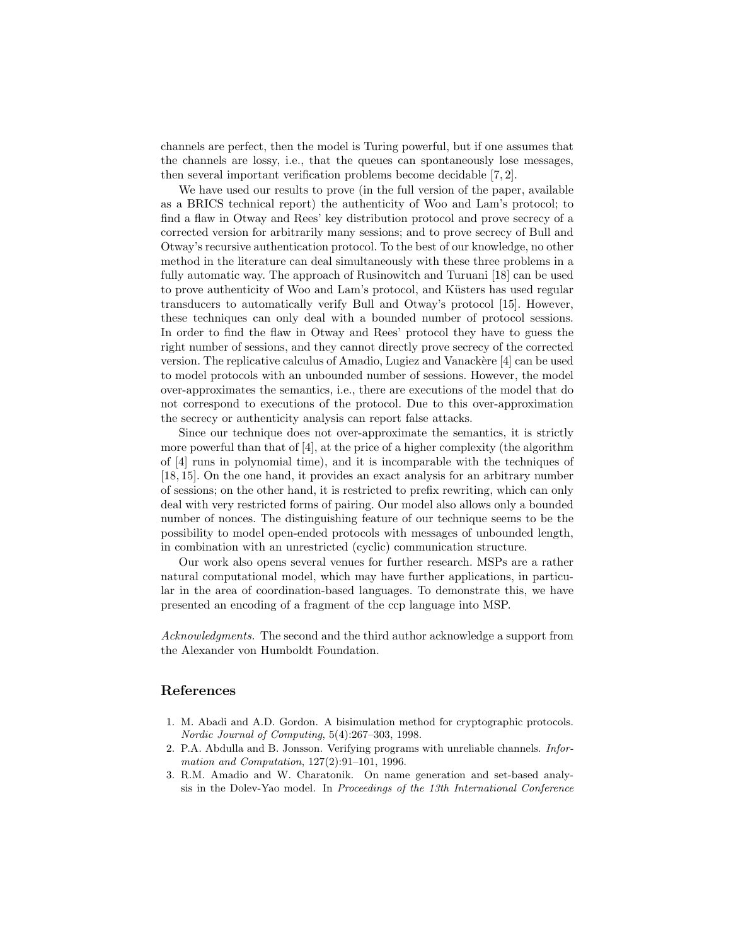channels are perfect, then the model is Turing powerful, but if one assumes that the channels are lossy, i.e., that the queues can spontaneously lose messages, then several important verification problems become decidable [7, 2].

We have used our results to prove (in the full version of the paper, available as a BRICS technical report) the authenticity of Woo and Lam's protocol; to find a flaw in Otway and Rees' key distribution protocol and prove secrecy of a corrected version for arbitrarily many sessions; and to prove secrecy of Bull and Otway's recursive authentication protocol. To the best of our knowledge, no other method in the literature can deal simultaneously with these three problems in a fully automatic way. The approach of Rusinowitch and Turuani [18] can be used to prove authenticity of Woo and Lam's protocol, and Küsters has used regular transducers to automatically verify Bull and Otway's protocol [15]. However, these techniques can only deal with a bounded number of protocol sessions. In order to find the flaw in Otway and Rees' protocol they have to guess the right number of sessions, and they cannot directly prove secrecy of the corrected version. The replicative calculus of Amadio, Lugiez and Vanackère [4] can be used to model protocols with an unbounded number of sessions. However, the model over-approximates the semantics, i.e., there are executions of the model that do not correspond to executions of the protocol. Due to this over-approximation the secrecy or authenticity analysis can report false attacks.

Since our technique does not over-approximate the semantics, it is strictly more powerful than that of  $[4]$ , at the price of a higher complexity (the algorithm of [4] runs in polynomial time), and it is incomparable with the techniques of [18, 15]. On the one hand, it provides an exact analysis for an arbitrary number of sessions; on the other hand, it is restricted to prefix rewriting, which can only deal with very restricted forms of pairing. Our model also allows only a bounded number of nonces. The distinguishing feature of our technique seems to be the possibility to model open-ended protocols with messages of unbounded length, in combination with an unrestricted (cyclic) communication structure.

Our work also opens several venues for further research. MSPs are a rather natural computational model, which may have further applications, in particular in the area of coordination-based languages. To demonstrate this, we have presented an encoding of a fragment of the ccp language into MSP.

Acknowledgments. The second and the third author acknowledge a support from the Alexander von Humboldt Foundation.

## References

- 1. M. Abadi and A.D. Gordon. A bisimulation method for cryptographic protocols. Nordic Journal of Computing, 5(4):267–303, 1998.
- 2. P.A. Abdulla and B. Jonsson. Verifying programs with unreliable channels. Information and Computation, 127(2):91–101, 1996.
- 3. R.M. Amadio and W. Charatonik. On name generation and set-based analysis in the Dolev-Yao model. In Proceedings of the 13th International Conference